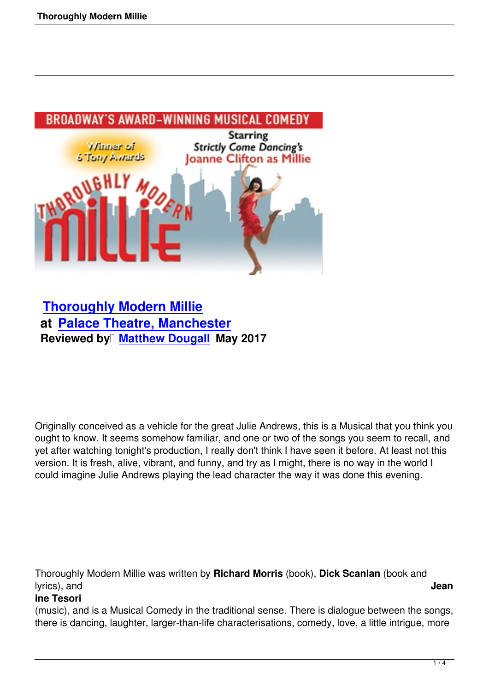

 **Thoroughly Modern Millie at Palace Theatre, Manchester Reviewed by [Matthew Douga](thoroughly-modern-millie.html)ll May 2017** 

Originally conceived as a vehicle for the great Julie Andrews, this is a Musical that you think you ought to know. It seems somehow familiar, and one or two of the songs you seem to recall, and yet after watching tonight's production, I really don't think I have seen it before. At least not this version. It is fresh, alive, vibrant, and funny, and try as I might, there is no way in the world I could imagine Julie Andrews playing the lead character the way it was done this evening.

Thoroughly Modern Millie was written by **Richard Morris** (book), **Dick Scanlan** (book and lyrics), and **Jean**

## **ine Tesori**

(music), and is a Musical Comedy in the traditional sense. There is dialogue between the songs, there is dancing, laughter, larger-than-life characterisations, comedy, love, a little intrigue, more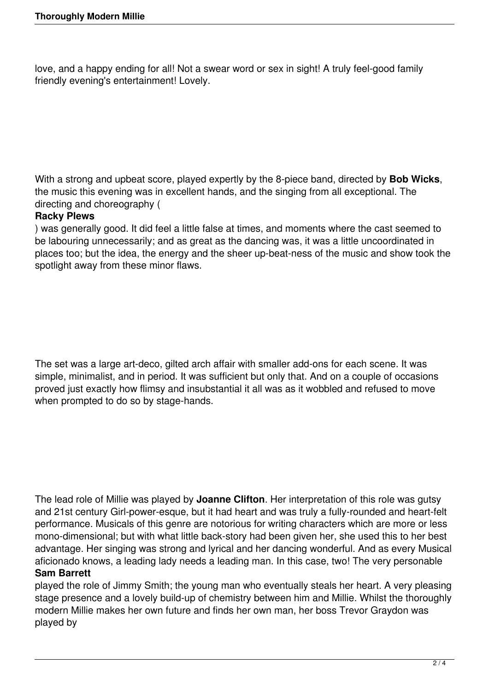love, and a happy ending for all! Not a swear word or sex in sight! A truly feel-good family friendly evening's entertainment! Lovely.

With a strong and upbeat score, played expertly by the 8-piece band, directed by **Bob Wicks**, the music this evening was in excellent hands, and the singing from all exceptional. The directing and choreography (

# **Racky Plews**

) was generally good. It did feel a little false at times, and moments where the cast seemed to be labouring unnecessarily; and as great as the dancing was, it was a little uncoordinated in places too; but the idea, the energy and the sheer up-beat-ness of the music and show took the spotlight away from these minor flaws.

The set was a large art-deco, gilted arch affair with smaller add-ons for each scene. It was simple, minimalist, and in period. It was sufficient but only that. And on a couple of occasions proved just exactly how flimsy and insubstantial it all was as it wobbled and refused to move when prompted to do so by stage-hands.

The lead role of Millie was played by **Joanne Clifton**. Her interpretation of this role was gutsy and 21st century Girl-power-esque, but it had heart and was truly a fully-rounded and heart-felt performance. Musicals of this genre are notorious for writing characters which are more or less mono-dimensional; but with what little back-story had been given her, she used this to her best advantage. Her singing was strong and lyrical and her dancing wonderful. And as every Musical aficionado knows, a leading lady needs a leading man. In this case, two! The very personable

## **Sam Barrett**

played the role of Jimmy Smith; the young man who eventually steals her heart. A very pleasing stage presence and a lovely build-up of chemistry between him and Millie. Whilst the thoroughly modern Millie makes her own future and finds her own man, her boss Trevor Graydon was played by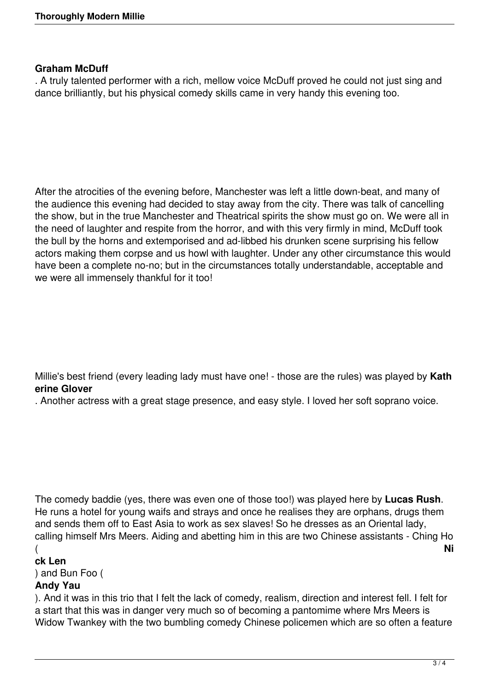#### **Graham McDuff**

. A truly talented performer with a rich, mellow voice McDuff proved he could not just sing and dance brilliantly, but his physical comedy skills came in very handy this evening too.

After the atrocities of the evening before, Manchester was left a little down-beat, and many of the audience this evening had decided to stay away from the city. There was talk of cancelling the show, but in the true Manchester and Theatrical spirits the show must go on. We were all in the need of laughter and respite from the horror, and with this very firmly in mind, McDuff took the bull by the horns and extemporised and ad-libbed his drunken scene surprising his fellow actors making them corpse and us howl with laughter. Under any other circumstance this would have been a complete no-no; but in the circumstances totally understandable, acceptable and we were all immensely thankful for it too!

Millie's best friend (every leading lady must have one! - those are the rules) was played by **Kath erine Glover**

. Another actress with a great stage presence, and easy style. I loved her soft soprano voice.

The comedy baddie (yes, there was even one of those too!) was played here by **Lucas Rush**. He runs a hotel for young waifs and strays and once he realises they are orphans, drugs them and sends them off to East Asia to work as sex slaves! So he dresses as an Oriental lady, calling himself Mrs Meers. Aiding and abetting him in this are two Chinese assistants - Ching Ho  $($ 

## **ck Len**

) and Bun Foo (

## **Andy Yau**

). And it was in this trio that I felt the lack of comedy, realism, direction and interest fell. I felt for a start that this was in danger very much so of becoming a pantomime where Mrs Meers is Widow Twankey with the two bumbling comedy Chinese policemen which are so often a feature